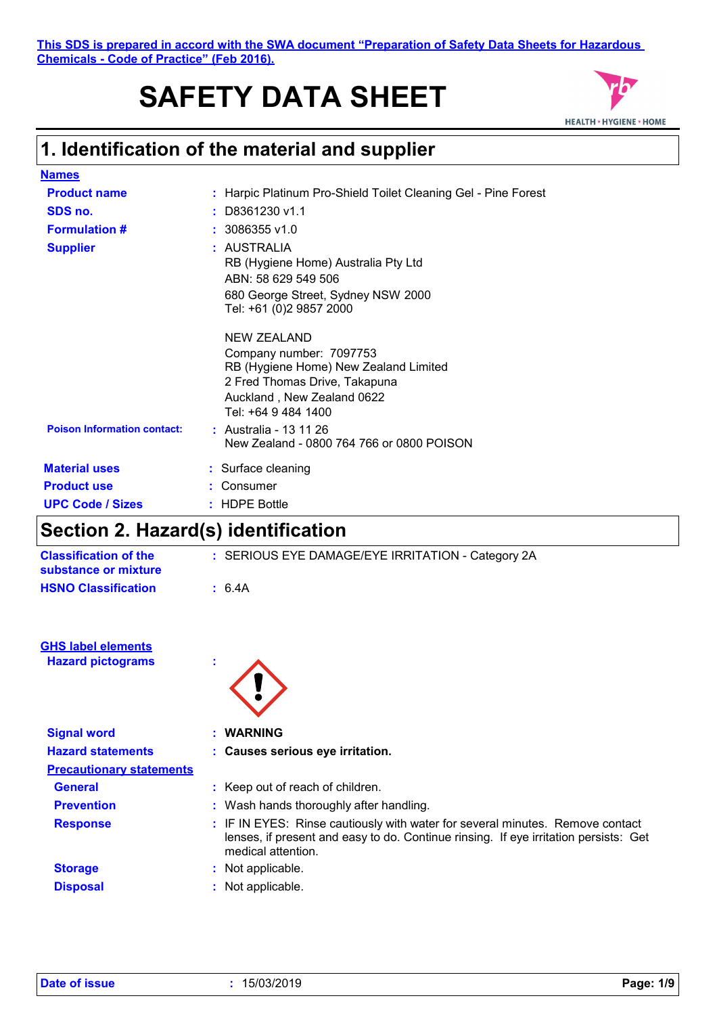# **SAFETY DATA SHEET**



## **1. Identification of the material and supplier**

| <b>Names</b>                       |   |                                                                |
|------------------------------------|---|----------------------------------------------------------------|
| <b>Product name</b>                |   | : Harpic Platinum Pro-Shield Toilet Cleaning Gel - Pine Forest |
| SDS no.                            |   | D8361230 v1.1                                                  |
| <b>Formulation #</b>               |   | $: 3086355$ v1.0                                               |
| <b>Supplier</b>                    | ÷ | AUSTRALIA                                                      |
|                                    |   | RB (Hygiene Home) Australia Pty Ltd                            |
|                                    |   | ABN: 58 629 549 506                                            |
|                                    |   | 680 George Street, Sydney NSW 2000<br>Tel: +61 (0)2 9857 2000  |
|                                    |   |                                                                |
|                                    |   | NEW ZEALAND                                                    |
|                                    |   | Company number: 7097753                                        |
|                                    |   | RB (Hygiene Home) New Zealand Limited                          |
|                                    |   | 2 Fred Thomas Drive, Takapuna                                  |
|                                    |   | Auckland, New Zealand 0622<br>Tel: +64 9 484 1400              |
| <b>Poison Information contact:</b> |   | : Australia - 13 11 26                                         |
|                                    |   | New Zealand - 0800 764 766 or 0800 POISON                      |
|                                    |   |                                                                |
| <b>Material uses</b>               |   | : Surface cleaning                                             |
| <b>Product use</b>                 |   | Consumer                                                       |
| <b>UPC Code / Sizes</b>            |   | : HDPE Bottle                                                  |

## **Section 2. Hazard(s) identification**

| <b>Classification of the</b><br>substance or mixture  | : SERIOUS EYE DAMAGE/EYE IRRITATION - Category 2A                                                                                                                     |
|-------------------------------------------------------|-----------------------------------------------------------------------------------------------------------------------------------------------------------------------|
| <b>HSNO Classification</b>                            | : 6.4A                                                                                                                                                                |
| <b>GHS label elements</b><br><b>Hazard pictograms</b> |                                                                                                                                                                       |
| <b>Signal word</b>                                    | : WARNING                                                                                                                                                             |
| <b>Hazard statements</b>                              | : Causes serious eye irritation.                                                                                                                                      |
| <b>Precautionary statements</b>                       |                                                                                                                                                                       |
| <b>General</b>                                        | : Keep out of reach of children.                                                                                                                                      |
| <b>Prevention</b>                                     | : Wash hands thoroughly after handling.                                                                                                                               |
| <b>Response</b>                                       | : IF IN EYES: Rinse cautiously with water for several minutes. Remove contact<br>lenses, if present and easy to do. Continue rinsing. If eye irritation persists: Get |

medical attention. **Storage 19 Storage 19 Storage 19 Storage 19 Storage 19 Storage 19 Storage 19 Storage 19 Storage 19 Storage 19 Storage 19 Storage 19 Storage 19 Storage 19 Storage 19 Storage 19 Storage 19 Storage 19 Storage 19 Storage 19 S Disposal :** Not applicable.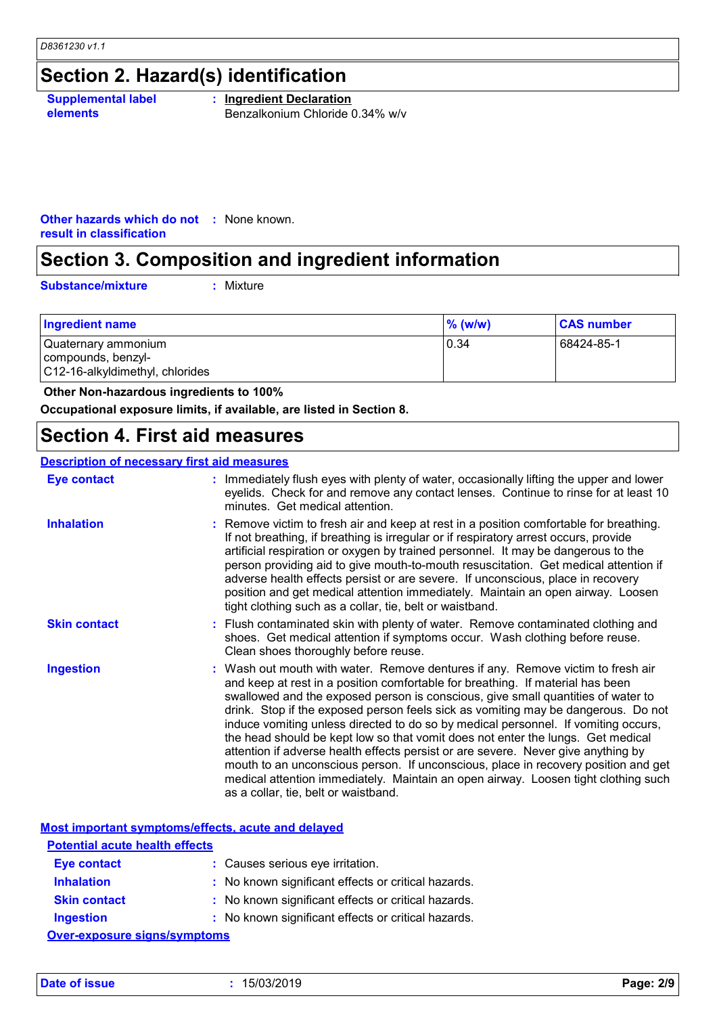## **Section 2. Hazard(s) identification**

**Supplemental label elements**

**: Ingredient Declaration** Benzalkonium Chloride 0.34% w/v

**Other hazards which do not :** None known. **result in classification**

## **Section 3. Composition and ingredient information**

**Substance/mixture :**

: Mixture

| 10.34<br>Quaternary ammonium<br>compounds, benzyl-<br>C12-16-alkyldimethyl, chlorides | 68424-85-1 |
|---------------------------------------------------------------------------------------|------------|

 **Other Non-hazardous ingredients to 100%**

**Occupational exposure limits, if available, are listed in Section 8.**

### **Section 4. First aid measures**

### **Description of necessary first aid measures**

| Eye contact         | : Immediately flush eyes with plenty of water, occasionally lifting the upper and lower<br>eyelids. Check for and remove any contact lenses. Continue to rinse for at least 10<br>minutes. Get medical attention.                                                                                                                                                                                                                                                                                                                                                                                                                                                                                                                                                                                                            |
|---------------------|------------------------------------------------------------------------------------------------------------------------------------------------------------------------------------------------------------------------------------------------------------------------------------------------------------------------------------------------------------------------------------------------------------------------------------------------------------------------------------------------------------------------------------------------------------------------------------------------------------------------------------------------------------------------------------------------------------------------------------------------------------------------------------------------------------------------------|
| <b>Inhalation</b>   | : Remove victim to fresh air and keep at rest in a position comfortable for breathing.<br>If not breathing, if breathing is irregular or if respiratory arrest occurs, provide<br>artificial respiration or oxygen by trained personnel. It may be dangerous to the<br>person providing aid to give mouth-to-mouth resuscitation. Get medical attention if<br>adverse health effects persist or are severe. If unconscious, place in recovery<br>position and get medical attention immediately. Maintain an open airway. Loosen<br>tight clothing such as a collar, tie, belt or waistband.                                                                                                                                                                                                                                 |
| <b>Skin contact</b> | : Flush contaminated skin with plenty of water. Remove contaminated clothing and<br>shoes. Get medical attention if symptoms occur. Wash clothing before reuse.<br>Clean shoes thoroughly before reuse.                                                                                                                                                                                                                                                                                                                                                                                                                                                                                                                                                                                                                      |
| <b>Ingestion</b>    | : Wash out mouth with water. Remove dentures if any. Remove victim to fresh air<br>and keep at rest in a position comfortable for breathing. If material has been<br>swallowed and the exposed person is conscious, give small quantities of water to<br>drink. Stop if the exposed person feels sick as vomiting may be dangerous. Do not<br>induce vomiting unless directed to do so by medical personnel. If vomiting occurs,<br>the head should be kept low so that vomit does not enter the lungs. Get medical<br>attention if adverse health effects persist or are severe. Never give anything by<br>mouth to an unconscious person. If unconscious, place in recovery position and get<br>medical attention immediately. Maintain an open airway. Loosen tight clothing such<br>as a collar, tie, belt or waistband. |

|                                                                         | Most important symptoms/effects, acute and delayed  |  |  |
|-------------------------------------------------------------------------|-----------------------------------------------------|--|--|
| <b>Potential acute health effects</b>                                   |                                                     |  |  |
| <b>Eye contact</b>                                                      | : Causes serious eye irritation.                    |  |  |
| <b>Inhalation</b>                                                       | : No known significant effects or critical hazards. |  |  |
| <b>Skin contact</b>                                                     | : No known significant effects or critical hazards. |  |  |
| : No known significant effects or critical hazards.<br><b>Ingestion</b> |                                                     |  |  |
| <b>Over-exposure signs/symptoms</b>                                     |                                                     |  |  |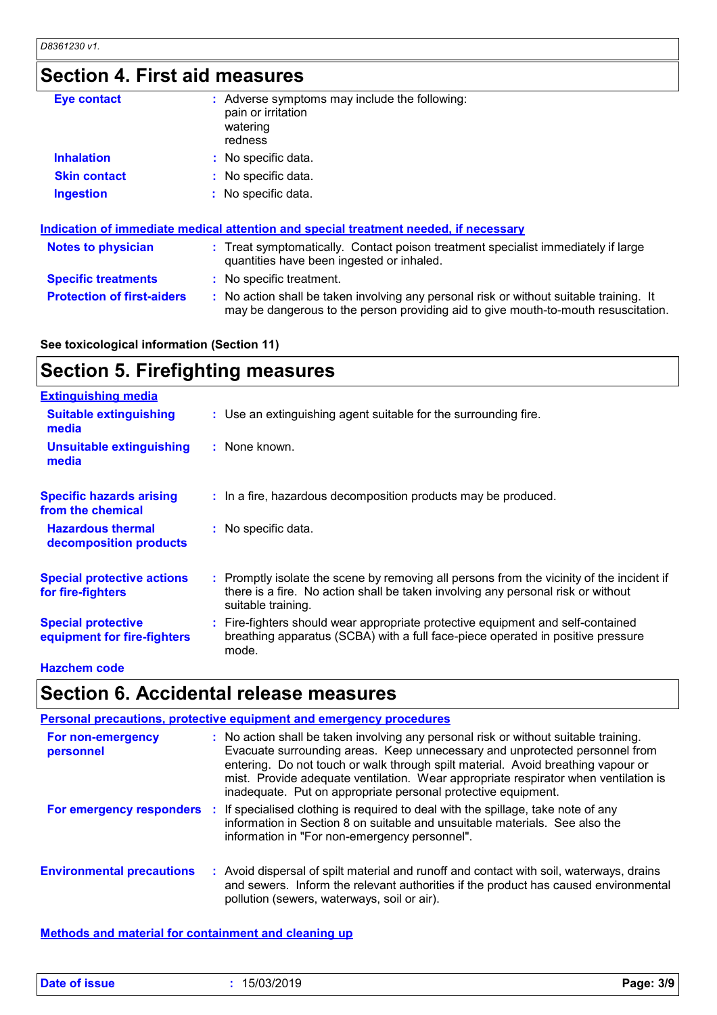## **Section 4. First aid measures**

| <b>Eye contact</b>                | : Adverse symptoms may include the following:<br>pain or irritation<br>watering<br>redness                                                                                    |
|-----------------------------------|-------------------------------------------------------------------------------------------------------------------------------------------------------------------------------|
| <b>Inhalation</b>                 | : No specific data.                                                                                                                                                           |
| <b>Skin contact</b>               | : No specific data.                                                                                                                                                           |
| <b>Ingestion</b>                  | : No specific data.                                                                                                                                                           |
|                                   | Indication of immediate medical attention and special treatment needed, if necessary                                                                                          |
| <b>Notes to physician</b>         | : Treat symptomatically. Contact poison treatment specialist immediately if large<br>quantities have been ingested or inhaled.                                                |
| <b>Specific treatments</b>        | : No specific treatment.                                                                                                                                                      |
| <b>Protection of first-aiders</b> | : No action shall be taken involving any personal risk or without suitable training. It<br>may be dangerous to the person providing aid to give mouth-to-mouth resuscitation. |

### **See toxicological information (Section 11)**

| <b>Section 5. Firefighting measures</b> |  |
|-----------------------------------------|--|
| <b>Extinguishing media</b>              |  |

| <b>Suitable extinguishing</b><br>media                   | : Use an extinguishing agent suitable for the surrounding fire.                                                                                                                                     |
|----------------------------------------------------------|-----------------------------------------------------------------------------------------------------------------------------------------------------------------------------------------------------|
| <b>Unsuitable extinguishing</b><br>media                 | : None known.                                                                                                                                                                                       |
| <b>Specific hazards arising</b><br>from the chemical     | : In a fire, hazardous decomposition products may be produced.                                                                                                                                      |
| <b>Hazardous thermal</b><br>decomposition products       | : No specific data.                                                                                                                                                                                 |
| <b>Special protective actions</b><br>for fire-fighters   | : Promptly isolate the scene by removing all persons from the vicinity of the incident if<br>there is a fire. No action shall be taken involving any personal risk or without<br>suitable training. |
| <b>Special protective</b><br>equipment for fire-fighters | : Fire-fighters should wear appropriate protective equipment and self-contained<br>breathing apparatus (SCBA) with a full face-piece operated in positive pressure<br>mode.                         |

### **Hazchem code**

## **Section 6. Accidental release measures**

|                                   | <b>Personal precautions, protective equipment and emergency procedures</b>                                                                                                                                                                                                                                                                                                                                      |
|-----------------------------------|-----------------------------------------------------------------------------------------------------------------------------------------------------------------------------------------------------------------------------------------------------------------------------------------------------------------------------------------------------------------------------------------------------------------|
| For non-emergency<br>personnel    | : No action shall be taken involving any personal risk or without suitable training.<br>Evacuate surrounding areas. Keep unnecessary and unprotected personnel from<br>entering. Do not touch or walk through spilt material. Avoid breathing vapour or<br>mist. Provide adequate ventilation. Wear appropriate respirator when ventilation is<br>inadequate. Put on appropriate personal protective equipment. |
| <b>For emergency responders :</b> | If specialised clothing is required to deal with the spillage, take note of any<br>information in Section 8 on suitable and unsuitable materials. See also the<br>information in "For non-emergency personnel".                                                                                                                                                                                                 |
| <b>Environmental precautions</b>  | : Avoid dispersal of spilt material and runoff and contact with soil, waterways, drains<br>and sewers. Inform the relevant authorities if the product has caused environmental<br>pollution (sewers, waterways, soil or air).                                                                                                                                                                                   |

**Methods and material for containment and cleaning up**

| Date of issue | 15/03/2019 | Page: 3/9 |
|---------------|------------|-----------|
|---------------|------------|-----------|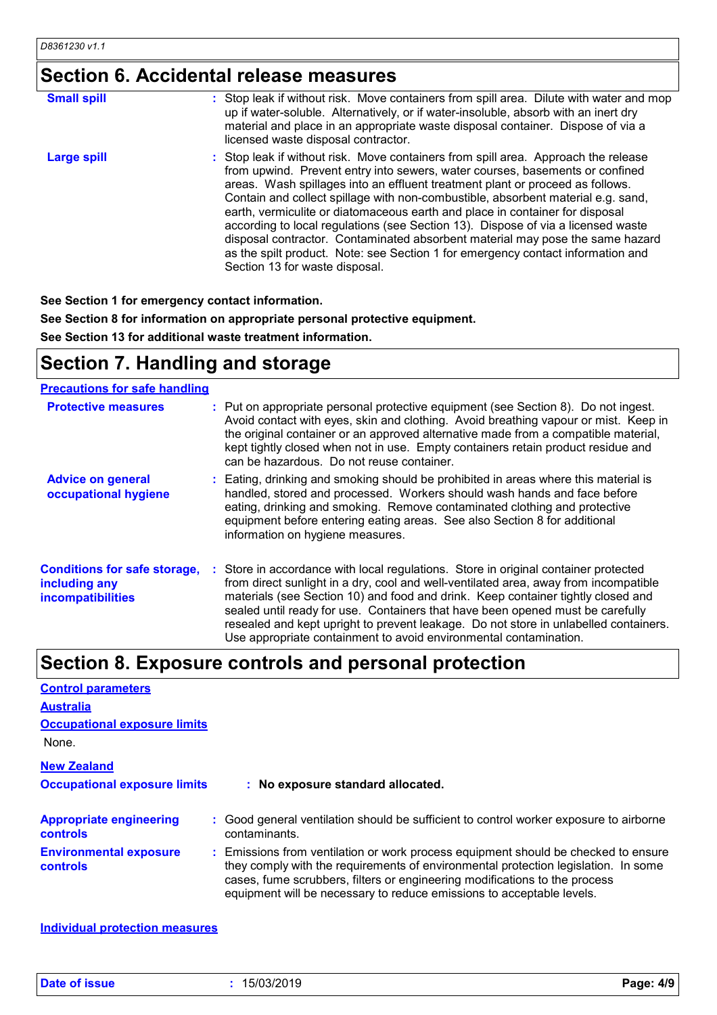## **Section 6. Accidental release measures**

| <b>Small spill</b> | : Stop leak if without risk. Move containers from spill area. Dilute with water and mop<br>up if water-soluble. Alternatively, or if water-insoluble, absorb with an inert dry<br>material and place in an appropriate waste disposal container. Dispose of via a<br>licensed waste disposal contractor.                                                                                                                                                                                                                                                                                                                                                                                                          |
|--------------------|-------------------------------------------------------------------------------------------------------------------------------------------------------------------------------------------------------------------------------------------------------------------------------------------------------------------------------------------------------------------------------------------------------------------------------------------------------------------------------------------------------------------------------------------------------------------------------------------------------------------------------------------------------------------------------------------------------------------|
| <b>Large spill</b> | : Stop leak if without risk. Move containers from spill area. Approach the release<br>from upwind. Prevent entry into sewers, water courses, basements or confined<br>areas. Wash spillages into an effluent treatment plant or proceed as follows.<br>Contain and collect spillage with non-combustible, absorbent material e.g. sand,<br>earth, vermiculite or diatomaceous earth and place in container for disposal<br>according to local regulations (see Section 13). Dispose of via a licensed waste<br>disposal contractor. Contaminated absorbent material may pose the same hazard<br>as the spilt product. Note: see Section 1 for emergency contact information and<br>Section 13 for waste disposal. |

**See Section 1 for emergency contact information.**

**See Section 8 for information on appropriate personal protective equipment.**

**See Section 13 for additional waste treatment information.**

## **Section 7. Handling and storage**

### **Precautions for safe handling**

| <b>Protective measures</b>                                                       | : Put on appropriate personal protective equipment (see Section 8). Do not ingest.<br>Avoid contact with eyes, skin and clothing. Avoid breathing vapour or mist. Keep in<br>the original container or an approved alternative made from a compatible material,<br>kept tightly closed when not in use. Empty containers retain product residue and<br>can be hazardous. Do not reuse container.                                                                                                               |
|----------------------------------------------------------------------------------|----------------------------------------------------------------------------------------------------------------------------------------------------------------------------------------------------------------------------------------------------------------------------------------------------------------------------------------------------------------------------------------------------------------------------------------------------------------------------------------------------------------|
| <b>Advice on general</b><br>occupational hygiene                                 | : Eating, drinking and smoking should be prohibited in areas where this material is<br>handled, stored and processed. Workers should wash hands and face before<br>eating, drinking and smoking. Remove contaminated clothing and protective<br>equipment before entering eating areas. See also Section 8 for additional<br>information on hygiene measures.                                                                                                                                                  |
| <b>Conditions for safe storage,</b><br>including any<br><b>incompatibilities</b> | : Store in accordance with local regulations. Store in original container protected<br>from direct sunlight in a dry, cool and well-ventilated area, away from incompatible<br>materials (see Section 10) and food and drink. Keep container tightly closed and<br>sealed until ready for use. Containers that have been opened must be carefully<br>resealed and kept upright to prevent leakage. Do not store in unlabelled containers.<br>Use appropriate containment to avoid environmental contamination. |

## **Section 8. Exposure controls and personal protection**

| <b>Control parameters</b>                         |  |                                                                                                                                                                                                                                                                                                                                 |  |  |
|---------------------------------------------------|--|---------------------------------------------------------------------------------------------------------------------------------------------------------------------------------------------------------------------------------------------------------------------------------------------------------------------------------|--|--|
| <b>Australia</b>                                  |  |                                                                                                                                                                                                                                                                                                                                 |  |  |
| <b>Occupational exposure limits</b>               |  |                                                                                                                                                                                                                                                                                                                                 |  |  |
| None.                                             |  |                                                                                                                                                                                                                                                                                                                                 |  |  |
| <b>New Zealand</b>                                |  |                                                                                                                                                                                                                                                                                                                                 |  |  |
| <b>Occupational exposure limits</b>               |  | : No exposure standard allocated.                                                                                                                                                                                                                                                                                               |  |  |
| <b>Appropriate engineering</b><br><b>controls</b> |  | : Good general ventilation should be sufficient to control worker exposure to airborne<br>contaminants.                                                                                                                                                                                                                         |  |  |
| <b>Environmental exposure</b><br><b>controls</b>  |  | : Emissions from ventilation or work process equipment should be checked to ensure<br>they comply with the requirements of environmental protection legislation. In some<br>cases, fume scrubbers, filters or engineering modifications to the process<br>equipment will be necessary to reduce emissions to acceptable levels. |  |  |

**Individual protection measures**

**Date of issue :** 15/03/2019 **Page: 4/9**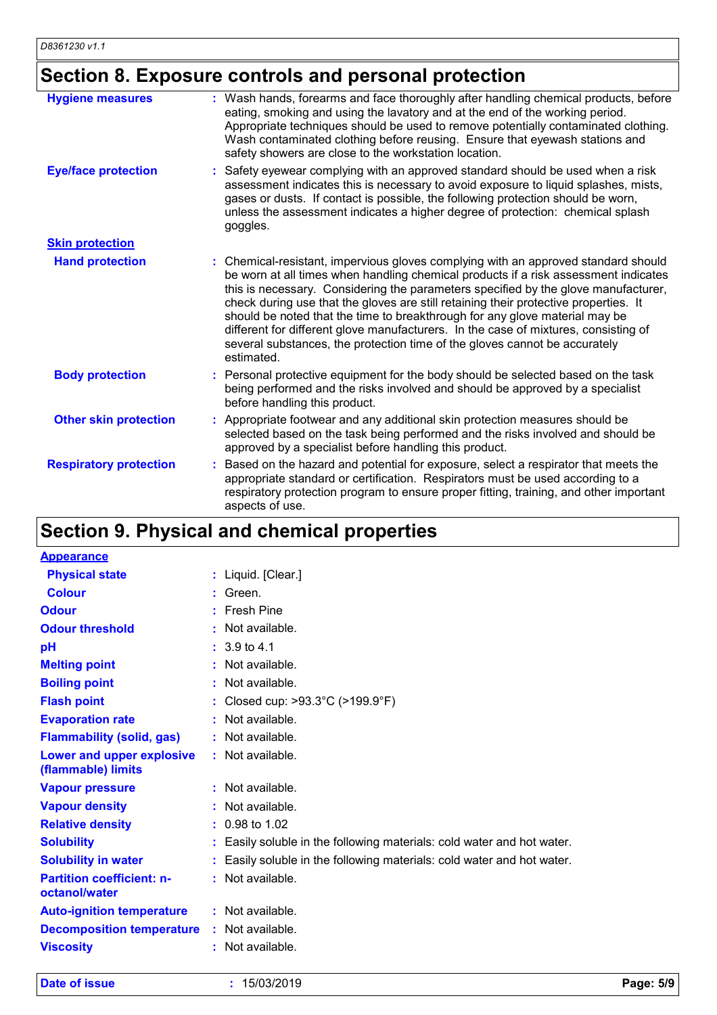## **Section 8. Exposure controls and personal protection**

| : Wash hands, forearms and face thoroughly after handling chemical products, before<br>eating, smoking and using the lavatory and at the end of the working period.<br>Appropriate techniques should be used to remove potentially contaminated clothing.<br>Wash contaminated clothing before reusing. Ensure that eyewash stations and<br>safety showers are close to the workstation location.                                                                                                                                                                                                                         |
|---------------------------------------------------------------------------------------------------------------------------------------------------------------------------------------------------------------------------------------------------------------------------------------------------------------------------------------------------------------------------------------------------------------------------------------------------------------------------------------------------------------------------------------------------------------------------------------------------------------------------|
| Safety eyewear complying with an approved standard should be used when a risk<br>assessment indicates this is necessary to avoid exposure to liquid splashes, mists,<br>gases or dusts. If contact is possible, the following protection should be worn,<br>unless the assessment indicates a higher degree of protection: chemical splash<br>goggles.                                                                                                                                                                                                                                                                    |
|                                                                                                                                                                                                                                                                                                                                                                                                                                                                                                                                                                                                                           |
| : Chemical-resistant, impervious gloves complying with an approved standard should<br>be worn at all times when handling chemical products if a risk assessment indicates<br>this is necessary. Considering the parameters specified by the glove manufacturer,<br>check during use that the gloves are still retaining their protective properties. It<br>should be noted that the time to breakthrough for any glove material may be<br>different for different glove manufacturers. In the case of mixtures, consisting of<br>several substances, the protection time of the gloves cannot be accurately<br>estimated. |
| : Personal protective equipment for the body should be selected based on the task<br>being performed and the risks involved and should be approved by a specialist<br>before handling this product.                                                                                                                                                                                                                                                                                                                                                                                                                       |
| Appropriate footwear and any additional skin protection measures should be<br>selected based on the task being performed and the risks involved and should be<br>approved by a specialist before handling this product.                                                                                                                                                                                                                                                                                                                                                                                                   |
| Based on the hazard and potential for exposure, select a respirator that meets the<br>appropriate standard or certification. Respirators must be used according to a<br>respiratory protection program to ensure proper fitting, training, and other important<br>aspects of use.                                                                                                                                                                                                                                                                                                                                         |
|                                                                                                                                                                                                                                                                                                                                                                                                                                                                                                                                                                                                                           |

## **Section 9. Physical and chemical properties**

| <b>Appearance</b>                                 |                                                                        |
|---------------------------------------------------|------------------------------------------------------------------------|
| <b>Physical state</b>                             | : Liquid. [Clear.]                                                     |
| <b>Colour</b>                                     | $:$ Green.                                                             |
| <b>Odour</b>                                      | $:$ Fresh Pine                                                         |
| <b>Odour threshold</b>                            | : Not available.                                                       |
| pH                                                | $: 3.9 \text{ to } 4.1$                                                |
| <b>Melting point</b>                              | : Not available.                                                       |
| <b>Boiling point</b>                              | : Not available.                                                       |
| <b>Flash point</b>                                | Closed cup: >93.3°C (>199.9°F)                                         |
| <b>Evaporation rate</b>                           | : Not available.                                                       |
| <b>Flammability (solid, gas)</b>                  | $:$ Not available.                                                     |
| Lower and upper explosive<br>(flammable) limits   | : Not available.                                                       |
| <b>Vapour pressure</b>                            | $:$ Not available.                                                     |
| <b>Vapour density</b>                             | : Not available.                                                       |
| <b>Relative density</b>                           | $: 0.98$ to 1.02                                                       |
| <b>Solubility</b>                                 | : Easily soluble in the following materials: cold water and hot water. |
| <b>Solubility in water</b>                        | : Easily soluble in the following materials: cold water and hot water. |
| <b>Partition coefficient: n-</b><br>octanol/water | : Not available.                                                       |
| <b>Auto-ignition temperature</b>                  | : Not available.                                                       |
| <b>Decomposition temperature : Not available.</b> |                                                                        |
| <b>Viscosity</b>                                  | Not available.                                                         |

**Date of issue :** 15/03/2019 **Page: 5/9**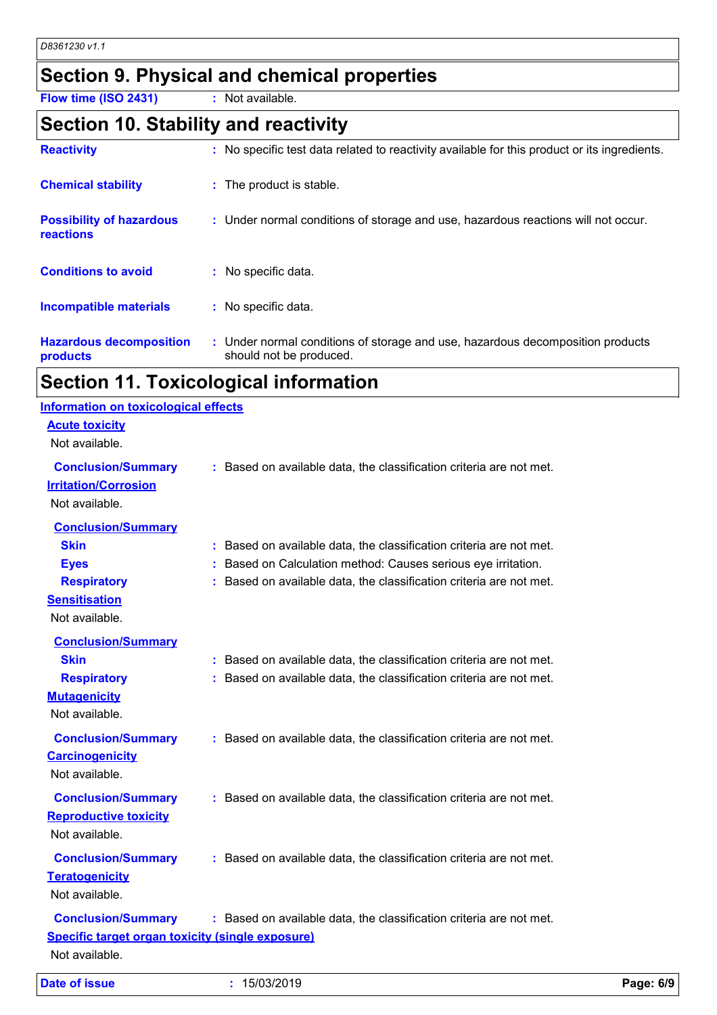## **Section 9. Physical and chemical properties**

**Flow time (ISO 2431) :** Not available.

### **Section 10. Stability and reactivity**

| <b>Reactivity</b>                            | : No specific test data related to reactivity available for this product or its ingredients.              |
|----------------------------------------------|-----------------------------------------------------------------------------------------------------------|
| <b>Chemical stability</b>                    | : The product is stable.                                                                                  |
| <b>Possibility of hazardous</b><br>reactions | : Under normal conditions of storage and use, hazardous reactions will not occur.                         |
| <b>Conditions to avoid</b>                   | No specific data.                                                                                         |
| <b>Incompatible materials</b>                | : No specific data.                                                                                       |
| <b>Hazardous decomposition</b><br>products   | : Under normal conditions of storage and use, hazardous decomposition products<br>should not be produced. |

## **Section 11. Toxicological information**

| <b>Date of issue</b>                                                                                                    | : 15/03/2019                                                                                                                                                                                                | Page: 6/9 |
|-------------------------------------------------------------------------------------------------------------------------|-------------------------------------------------------------------------------------------------------------------------------------------------------------------------------------------------------------|-----------|
| <b>Conclusion/Summary</b><br><b>Specific target organ toxicity (single exposure)</b><br>Not available.                  | : Based on available data, the classification criteria are not met.                                                                                                                                         |           |
| <b>Conclusion/Summary</b><br><b>Teratogenicity</b><br>Not available.                                                    | : Based on available data, the classification criteria are not met.                                                                                                                                         |           |
| <b>Conclusion/Summary</b><br><b>Reproductive toxicity</b><br>Not available.                                             | : Based on available data, the classification criteria are not met.                                                                                                                                         |           |
| <b>Conclusion/Summary</b><br><b>Carcinogenicity</b><br>Not available.                                                   | : Based on available data, the classification criteria are not met.                                                                                                                                         |           |
| <b>Conclusion/Summary</b><br><b>Skin</b><br><b>Respiratory</b><br><b>Mutagenicity</b><br>Not available.                 | : Based on available data, the classification criteria are not met.<br>: Based on available data, the classification criteria are not met.                                                                  |           |
| <b>Conclusion/Summary</b><br><b>Skin</b><br><b>Eyes</b><br><b>Respiratory</b><br><b>Sensitisation</b><br>Not available. | : Based on available data, the classification criteria are not met.<br>: Based on Calculation method: Causes serious eye irritation.<br>: Based on available data, the classification criteria are not met. |           |
| <b>Conclusion/Summary</b><br><b>Irritation/Corrosion</b><br>Not available.                                              | : Based on available data, the classification criteria are not met.                                                                                                                                         |           |
| <b>Information on toxicological effects</b><br><b>Acute toxicity</b><br>Not available.                                  |                                                                                                                                                                                                             |           |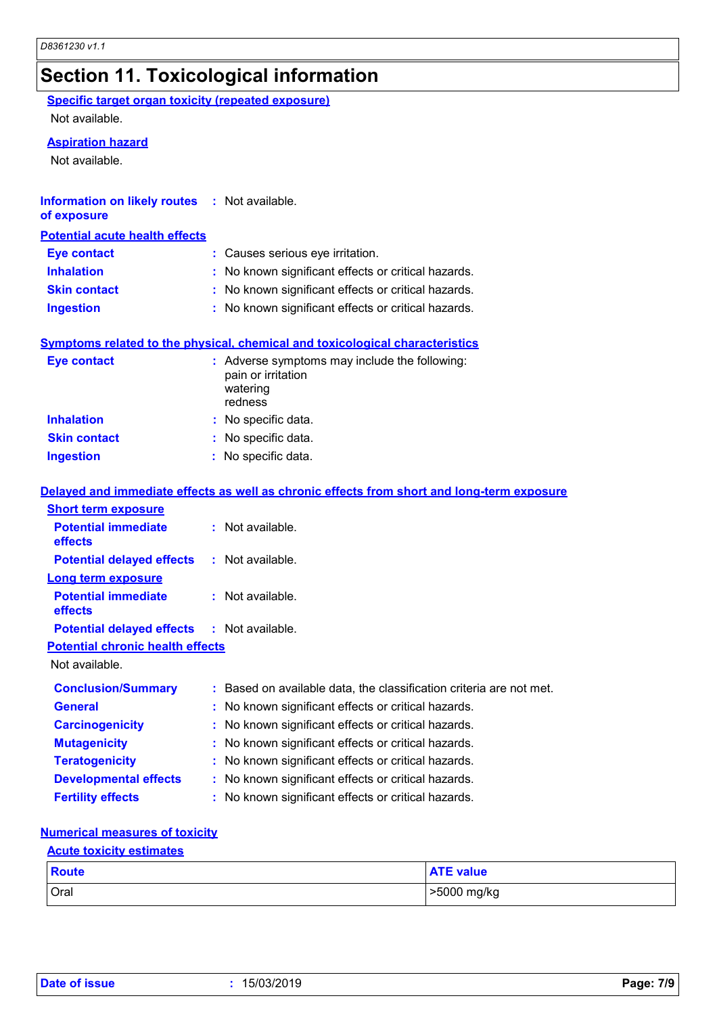## **Section 11. Toxicological information**

**Specific target organ toxicity (repeated exposure)**

Not available.

#### **Aspiration hazard**

Not available.

| <b>Information on likely routes : Not available.</b><br>of exposure |                                                                                     |
|---------------------------------------------------------------------|-------------------------------------------------------------------------------------|
| <b>Potential acute health effects</b>                               |                                                                                     |
| Eye contact                                                         | : Causes serious eye irritation.                                                    |
| <b>Inhalation</b>                                                   | : No known significant effects or critical hazards.                                 |
| <b>Skin contact</b>                                                 | : No known significant effects or critical hazards.                                 |
| <b>Ingestion</b>                                                    | : No known significant effects or critical hazards.                                 |
|                                                                     |                                                                                     |
|                                                                     | <b>Symptoms related to the physical, chemical and toxicological characteristics</b> |

| <b>Eye contact</b>  | : Adverse symptoms may include the following:<br>pain or irritation<br>watering<br>redness |  |  |  |
|---------------------|--------------------------------------------------------------------------------------------|--|--|--|
| <b>Inhalation</b>   | : No specific data.                                                                        |  |  |  |
| <b>Skin contact</b> | : No specific data.                                                                        |  |  |  |
| <b>Ingestion</b>    | : No specific data.                                                                        |  |  |  |

|                                                   | Delayed and immediate effects as well as chronic effects from short and long-term exposure |
|---------------------------------------------------|--------------------------------------------------------------------------------------------|
| <b>Short term exposure</b>                        |                                                                                            |
| <b>Potential immediate</b><br><b>effects</b>      | $:$ Not available.                                                                         |
| <b>Potential delayed effects</b>                  | : Not available.                                                                           |
| <b>Long term exposure</b>                         |                                                                                            |
| <b>Potential immediate</b><br><b>effects</b>      | $:$ Not available.                                                                         |
| <b>Potential delayed effects : Not available.</b> |                                                                                            |
| <b>Potential chronic health effects</b>           |                                                                                            |
| Not available.                                    |                                                                                            |
| <b>Conclusion/Summary</b>                         | : Based on available data, the classification criteria are not met.                        |
| <b>General</b>                                    | : No known significant effects or critical hazards.                                        |
| <b>Carcinogenicity</b>                            | : No known significant effects or critical hazards.                                        |
| <b>Mutagenicity</b>                               | : No known significant effects or critical hazards.                                        |
| <b>Teratogenicity</b>                             | : No known significant effects or critical hazards.                                        |
| <b>Developmental effects</b>                      | : No known significant effects or critical hazards.                                        |
| <b>Fertility effects</b>                          | : No known significant effects or critical hazards.                                        |

#### **Numerical measures of toxicity**

### **Acute toxicity estimates**

| Route | <b>ATE value</b> |
|-------|------------------|
| Oral  | >5000 mg/kg      |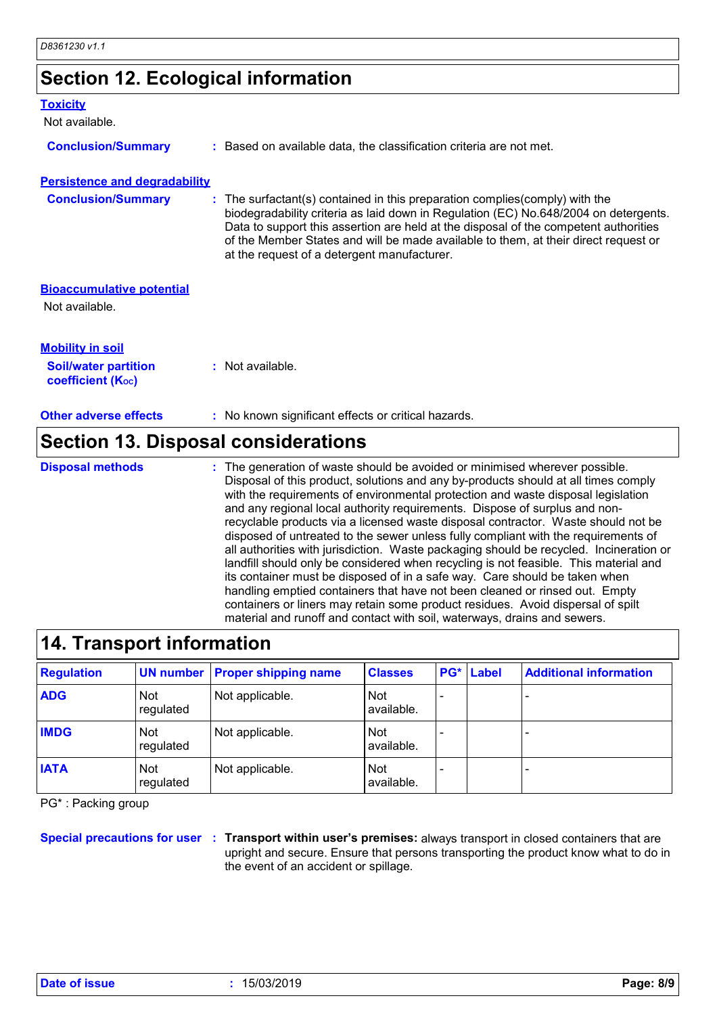## **Section 12. Ecological information**

| <b>Toxicity</b>                                         |                                                                                                                                                                                                                                                                                                                                                                                                    |
|---------------------------------------------------------|----------------------------------------------------------------------------------------------------------------------------------------------------------------------------------------------------------------------------------------------------------------------------------------------------------------------------------------------------------------------------------------------------|
| Not available.                                          |                                                                                                                                                                                                                                                                                                                                                                                                    |
| <b>Conclusion/Summary</b>                               | : Based on available data, the classification criteria are not met.                                                                                                                                                                                                                                                                                                                                |
| <b>Persistence and degradability</b>                    |                                                                                                                                                                                                                                                                                                                                                                                                    |
| <b>Conclusion/Summary</b>                               | : The surfactant(s) contained in this preparation complies (comply) with the<br>biodegradability criteria as laid down in Regulation (EC) No.648/2004 on detergents.<br>Data to support this assertion are held at the disposal of the competent authorities<br>of the Member States and will be made available to them, at their direct request or<br>at the request of a detergent manufacturer. |
| <b>Bioaccumulative potential</b>                        |                                                                                                                                                                                                                                                                                                                                                                                                    |
| Not available.                                          |                                                                                                                                                                                                                                                                                                                                                                                                    |
| <b>Mobility in soil</b>                                 |                                                                                                                                                                                                                                                                                                                                                                                                    |
| <b>Soil/water partition</b><br><b>coefficient (Koc)</b> | $:$ Not available.                                                                                                                                                                                                                                                                                                                                                                                 |
| <b>Other adverse effects</b>                            | : No known significant effects or critical hazards.                                                                                                                                                                                                                                                                                                                                                |

### **Section 13. Disposal considerations**

**Disposal methods :**

The generation of waste should be avoided or minimised wherever possible. Disposal of this product, solutions and any by-products should at all times comply with the requirements of environmental protection and waste disposal legislation and any regional local authority requirements. Dispose of surplus and nonrecyclable products via a licensed waste disposal contractor. Waste should not be disposed of untreated to the sewer unless fully compliant with the requirements of all authorities with jurisdiction. Waste packaging should be recycled. Incineration or landfill should only be considered when recycling is not feasible. This material and its container must be disposed of in a safe way. Care should be taken when handling emptied containers that have not been cleaned or rinsed out. Empty containers or liners may retain some product residues. Avoid dispersal of spilt material and runoff and contact with soil, waterways, drains and sewers.

| 14. Transport information |                         |                                |                          |     |       |                               |
|---------------------------|-------------------------|--------------------------------|--------------------------|-----|-------|-------------------------------|
| <b>Regulation</b>         |                         | UN number Proper shipping name | <b>Classes</b>           | PG* | Label | <b>Additional information</b> |
| <b>ADG</b>                | <b>Not</b><br>regulated | Not applicable.                | <b>Not</b><br>available. |     |       |                               |
| <b>IMDG</b>               | <b>Not</b><br>regulated | Not applicable.                | <b>Not</b><br>available. |     |       |                               |
| <b>IATA</b>               | <b>Not</b><br>regulated | Not applicable.                | <b>Not</b><br>available. |     |       |                               |

PG\* : Packing group

**Special precautions for user Transport within user's premises:** always transport in closed containers that are **:** upright and secure. Ensure that persons transporting the product know what to do in the event of an accident or spillage.